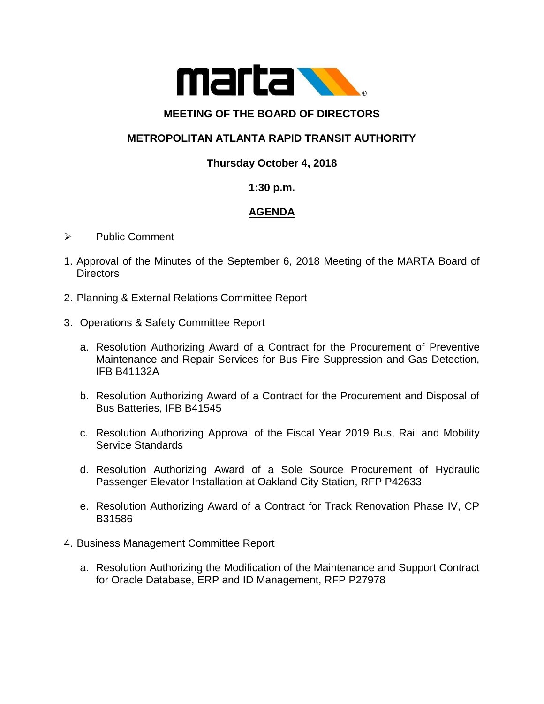

### **MEETING OF THE BOARD OF DIRECTORS**

# **METROPOLITAN ATLANTA RAPID TRANSIT AUTHORITY**

## **Thursday October 4, 2018**

#### **1:30 p.m.**

# **AGENDA**

- ➢ Public Comment
- 1. Approval of the Minutes of the September 6, 2018 Meeting of the MARTA Board of **Directors**
- 2. Planning & External Relations Committee Report
- 3. Operations & Safety Committee Report
	- a. Resolution Authorizing Award of a Contract for the Procurement of Preventive Maintenance and Repair Services for Bus Fire Suppression and Gas Detection, IFB B41132A
	- b. Resolution Authorizing Award of a Contract for the Procurement and Disposal of Bus Batteries, IFB B41545
	- c. Resolution Authorizing Approval of the Fiscal Year 2019 Bus, Rail and Mobility Service Standards
	- d. Resolution Authorizing Award of a Sole Source Procurement of Hydraulic Passenger Elevator Installation at Oakland City Station, RFP P42633
	- e. Resolution Authorizing Award of a Contract for Track Renovation Phase IV, CP B31586
- 4. Business Management Committee Report
	- a. Resolution Authorizing the Modification of the Maintenance and Support Contract for Oracle Database, ERP and ID Management, RFP P27978